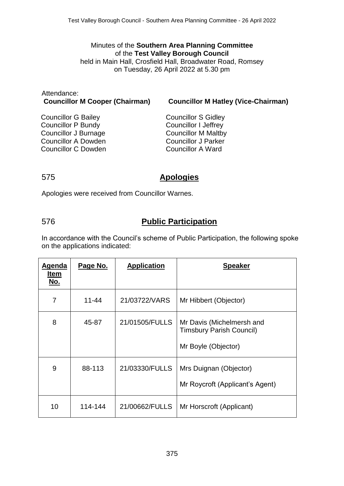#### Minutes of the **Southern Area Planning Committee** of the **Test Valley Borough Council** held in Main Hall, Crosfield Hall, Broadwater Road, Romsey on Tuesday, 26 April 2022 at 5.30 pm

# Attendance:

**Councillor M Cooper (Chairman) Councillor M Hatley (Vice-Chairman)**

Councillor S Gidley Councillor I Jeffrey Councillor M Maltby Councillor J Parker Councillor A Ward

#### 575 **Apologies**

Apologies were received from Councillor Warnes.

### 576 **Public Participation**

In accordance with the Council's scheme of Public Participation, the following spoke on the applications indicated:

| <b>Agenda</b><br><u>Item</u><br>No. | <u>Page No.</u> | <b>Application</b> | <b>Speaker</b>                                                                      |
|-------------------------------------|-----------------|--------------------|-------------------------------------------------------------------------------------|
| 7                                   | $11 - 44$       | 21/03722/VARS      | Mr Hibbert (Objector)                                                               |
| 8                                   | 45-87           | 21/01505/FULLS     | Mr Davis (Michelmersh and<br><b>Timsbury Parish Council)</b><br>Mr Boyle (Objector) |
| 9                                   | 88-113          | 21/03330/FULLS     | Mrs Duignan (Objector)<br>Mr Roycroft (Applicant's Agent)                           |
| 10                                  | 114-144         | 21/00662/FULLS     | Mr Horscroft (Applicant)                                                            |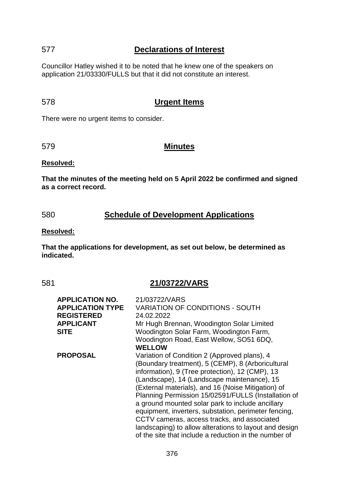# 577 **Declarations of Interest**

Councillor Hatley wished it to be noted that he knew one of the speakers on application 21/03330/FULLS but that it did not constitute an interest.

## 578 **Urgent Items**

There were no urgent items to consider.

#### 579 **Minutes**

**Resolved:**

**That the minutes of the meeting held on 5 April 2022 be confirmed and signed as a correct record.**

### 580 **Schedule of Development Applications**

**Resolved:**

**That the applications for development, as set out below, be determined as indicated.**

### 581 **21/03722/VARS**

| <b>APPLICATION NO.</b>  | 21/03722/VARS                                          |
|-------------------------|--------------------------------------------------------|
| <b>APPLICATION TYPE</b> | <b>VARIATION OF CONDITIONS - SOUTH</b>                 |
| <b>REGISTERED</b>       | 24.02.2022                                             |
| <b>APPLICANT</b>        | Mr Hugh Brennan, Woodington Solar Limited              |
| <b>SITE</b>             | Woodington Solar Farm, Woodington Farm,                |
|                         | Woodington Road, East Wellow, SO51 6DQ,                |
|                         | <b>WELLOW</b>                                          |
| <b>PROPOSAL</b>         | Variation of Condition 2 (Approved plans), 4           |
|                         | (Boundary treatment), 5 (CEMP), 8 (Arboricultural      |
|                         | information), 9 (Tree protection), 12 (CMP), 13        |
|                         | (Landscape), 14 (Landscape maintenance), 15            |
|                         | (External materials), and 16 (Noise Mitigation) of     |
|                         | Planning Permission 15/02591/FULLS (Installation of    |
|                         | a ground mounted solar park to include ancillary       |
|                         | equipment, inverters, substation, perimeter fencing,   |
|                         | CCTV cameras, access tracks, and associated            |
|                         | landscaping) to allow alterations to layout and design |
|                         | of the site that include a reduction in the number of  |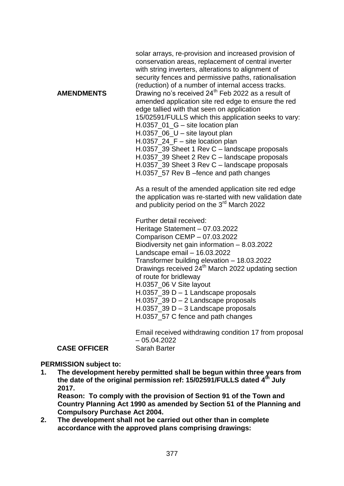solar arrays, re-provision and increased provision of conservation areas, replacement of central inverter with string inverters, alterations to alignment of security fences and permissive paths, rationalisation (reduction) of a number of internal access tracks. **AMENDMENTS** Drawing no's received 24<sup>th</sup> Feb 2022 as a result of amended application site red edge to ensure the red edge tallied with that seen on application 15/02591/FULLS which this application seeks to vary: H.0357\_01\_G – site location plan H.0357  $06$  U – site layout plan H.0357\_24\_F – site location plan H.0357\_39 Sheet 1 Rev C – landscape proposals H.0357\_39 Sheet 2 Rev C – landscape proposals H.0357\_39 Sheet 3 Rev C – landscape proposals H.0357\_57 Rev B –fence and path changes

> As a result of the amended application site red edge the application was re-started with new validation date and publicity period on the 3<sup>rd</sup> March 2022

Further detail received: Heritage Statement – 07.03.2022 Comparison CEMP – 07.03.2022 Biodiversity net gain information – 8.03.2022 Landscape email – 16.03.2022 Transformer building elevation – 18.03.2022 Drawings received  $24<sup>th</sup>$  March 2022 updating section of route for bridleway H.0357\_06 V Site layout H.0357  $39 D - 1$  Landscape proposals H.0357  $39 D - 2$  Landscape proposals H.0357  $39 D - 3$  Landscape proposals H.0357\_57 C fence and path changes

Email received withdrawing condition 17 from proposal – 05.04.2022 **CASE OFFICER** Sarah Barter

**PERMISSION subject to:**

**1. The development hereby permitted shall be begun within three years from the date of the original permission ref: 15/02591/FULLS dated 4th July 2017.**

**Reason: To comply with the provision of Section 91 of the Town and Country Planning Act 1990 as amended by Section 51 of the Planning and Compulsory Purchase Act 2004.**

**2. The development shall not be carried out other than in complete accordance with the approved plans comprising drawings:**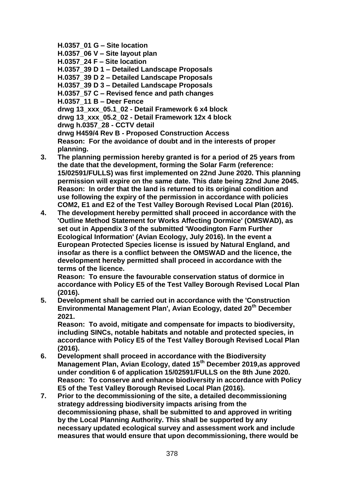**H.0357\_01 G – Site location H.0357\_06 V – Site layout plan H.0357\_24 F – Site location H.0357\_39 D 1 – Detailed Landscape Proposals H.0357\_39 D 2 – Detailed Landscape Proposals H.0357\_39 D 3 – Detailed Landscape Proposals H.0357\_57 C – Revised fence and path changes H.0357\_11 B – Deer Fence drwg 13\_xxx\_05.1\_02 - Detail Framework 6 x4 block drwg 13\_xxx\_05.2\_02 - Detail Framework 12x 4 block drwg h.0357\_28 - CCTV detail drwg H459/4 Rev B - Proposed Construction Access Reason: For the avoidance of doubt and in the interests of proper planning.**

- **3. The planning permission hereby granted is for a period of 25 years from the date that the development, forming the Solar Farm (reference: 15/02591/FULLS) was first implemented on 22nd June 2020. This planning permission will expire on the same date. This date being 22nd June 2045. Reason: In order that the land is returned to its original condition and use following the expiry of the permission in accordance with policies COM2, E1 and E2 of the Test Valley Borough Revised Local Plan (2016).**
- **4. The development hereby permitted shall proceed in accordance with the 'Outline Method Statement for Works Affecting Dormice' (OMSWAD), as set out in Appendix 3 of the submitted 'Woodington Farm Further Ecological Information' (Avian Ecology, July 2016). In the event a European Protected Species license is issued by Natural England, and insofar as there is a conflict between the OMSWAD and the licence, the development hereby permitted shall proceed in accordance with the terms of the licence.**

**Reason: To ensure the favourable conservation status of dormice in accordance with Policy E5 of the Test Valley Borough Revised Local Plan (2016).**

**5. Development shall be carried out in accordance with the 'Construction Environmental Management Plan', Avian Ecology, dated 20th December 2021.**

**Reason: To avoid, mitigate and compensate for impacts to biodiversity, including SINCs, notable habitats and notable and protected species, in accordance with Policy E5 of the Test Valley Borough Revised Local Plan (2016).**

- **6. Development shall proceed in accordance with the Biodiversity Management Plan, Avian Ecology, dated 15th December 2019,as approved under condition 6 of application 15/02591/FULLS on the 8th June 2020. Reason: To conserve and enhance biodiversity in accordance with Policy E5 of the Test Valley Borough Revised Local Plan (2016).**
- **7. Prior to the decommissioning of the site, a detailed decommissioning strategy addressing biodiversity impacts arising from the decommissioning phase, shall be submitted to and approved in writing by the Local Planning Authority. This shall be supported by any necessary updated ecological survey and assessment work and include measures that would ensure that upon decommissioning, there would be**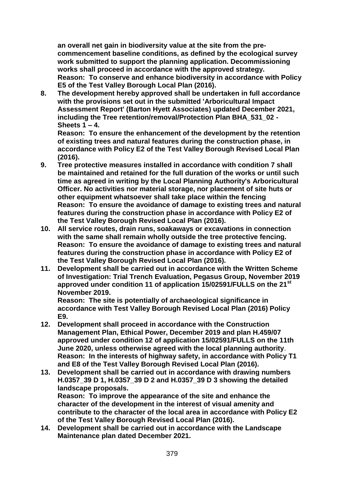**an overall net gain in biodiversity value at the site from the precommencement baseline conditions, as defined by the ecological survey work submitted to support the planning application. Decommissioning works shall proceed in accordance with the approved strategy. Reason: To conserve and enhance biodiversity in accordance with Policy E5 of the Test Valley Borough Local Plan (2016).**

**8. The development hereby approved shall be undertaken in full accordance with the provisions set out in the submitted 'Arboricultural Impact Assessment Report' (Barton Hyett Associates) updated December 2021, including the Tree retention/removal/Protection Plan BHA\_531\_02 - Sheets 1 – 4.**

**Reason: To ensure the enhancement of the development by the retention of existing trees and natural features during the construction phase, in accordance with Policy E2 of the Test Valley Borough Revised Local Plan (2016).**

- **9. Tree protective measures installed in accordance with condition 7 shall be maintained and retained for the full duration of the works or until such time as agreed in writing by the Local Planning Authority's Arboricultural Officer. No activities nor material storage, nor placement of site huts or other equipment whatsoever shall take place within the fencing Reason: To ensure the avoidance of damage to existing trees and natural features during the construction phase in accordance with Policy E2 of the Test Valley Borough Revised Local Plan (2016).**
- **10. All service routes, drain runs, soakaways or excavations in connection with the same shall remain wholly outside the tree protective fencing. Reason: To ensure the avoidance of damage to existing trees and natural features during the construction phase in accordance with Policy E2 of the Test Valley Borough Revised Local Plan (2016).**
- **11. Development shall be carried out in accordance with the Written Scheme of Investigation: Trial Trench Evaluation, Pegasus Group, November 2019 approved under condition 11 of application 15/02591/FULLS on the 21st November 2019.**

**Reason: The site is potentially of archaeological significance in accordance with Test Valley Borough Revised Local Plan (2016) Policy E9.**

- **12. Development shall proceed in accordance with the Construction Management Plan, Ethical Power, December 2019 and plan H.459/07 approved under condition 12 of application 15/02591/FULLS on the 11th June 2020, unless otherwise agreed with the local planning authority**. **Reason: In the interests of highway safety, in accordance with Policy T1 and E8 of the Test Valley Borough Revised Local Plan (2016).**
- **13. Development shall be carried out in accordance with drawing numbers H.0357\_39 D 1, H.0357\_39 D 2 and H.0357\_39 D 3 showing the detailed landscape proposals.**

**Reason: To improve the appearance of the site and enhance the character of the development in the interest of visual amenity and contribute to the character of the local area in accordance with Policy E2 of the Test Valley Borough Revised Local Plan (2016).**

**14. Development shall be carried out in accordance with the Landscape Maintenance plan dated December 2021.**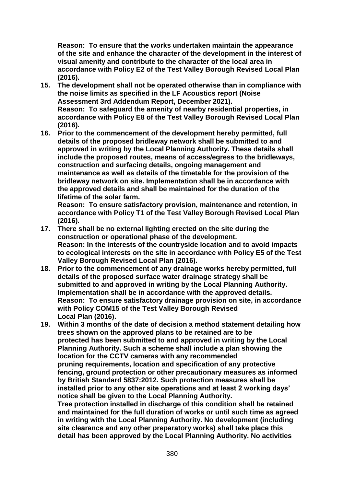**Reason: To ensure that the works undertaken maintain the appearance of the site and enhance the character of the development in the interest of visual amenity and contribute to the character of the local area in accordance with Policy E2 of the Test Valley Borough Revised Local Plan (2016).**

- **15. The development shall not be operated otherwise than in compliance with the noise limits as specified in the LF Acoustics report (Noise Assessment 3rd Addendum Report, December 2021). Reason: To safeguard the amenity of nearby residential properties, in accordance with Policy E8 of the Test Valley Borough Revised Local Plan (2016).**
- **16. Prior to the commencement of the development hereby permitted, full details of the proposed bridleway network shall be submitted to and approved in writing by the Local Planning Authority. These details shall include the proposed routes, means of access/egress to the bridleways, construction and surfacing details, ongoing management and maintenance as well as details of the timetable for the provision of the bridleway network on site. Implementation shall be in accordance with the approved details and shall be maintained for the duration of the lifetime of the solar farm.**

**Reason: To ensure satisfactory provision, maintenance and retention, in accordance with Policy T1 of the Test Valley Borough Revised Local Plan (2016).**

- **17. There shall be no external lighting erected on the site during the construction or operational phase of the development. Reason: In the interests of the countryside location and to avoid impacts to ecological interests on the site in accordance with Policy E5 of the Test Valley Borough Revised Local Plan (2016).**
- **18. Prior to the commencement of any drainage works hereby permitted, full details of the proposed surface water drainage strategy shall be submitted to and approved in writing by the Local Planning Authority. Implementation shall be in accordance with the approved details. Reason: To ensure satisfactory drainage provision on site, in accordance with Policy COM15 of the Test Valley Borough Revised Local Plan (2016).**
- **19. Within 3 months of the date of decision a method statement detailing how trees shown on the approved plans to be retained are to be protected has been submitted to and approved in writing by the Local Planning Authority. Such a scheme shall include a plan showing the location for the CCTV cameras with any recommended pruning requirements, location and specification of any protective fencing, ground protection or other precautionary measures as informed by British Standard 5837:2012. Such protection measures shall be installed prior to any other site operations and at least 2 working days' notice shall be given to the Local Planning Authority.**

**Tree protection installed in discharge of this condition shall be retained and maintained for the full duration of works or until such time as agreed in writing with the Local Planning Authority. No development (including site clearance and any other preparatory works) shall take place this detail has been approved by the Local Planning Authority. No activities**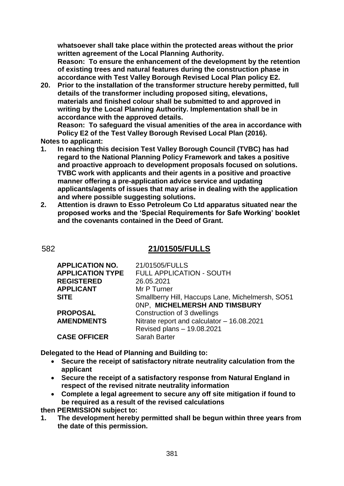**whatsoever shall take place within the protected areas without the prior written agreement of the Local Planning Authority.**

**Reason: To ensure the enhancement of the development by the retention of existing trees and natural features during the construction phase in accordance with Test Valley Borough Revised Local Plan policy E2.**

**20. Prior to the installation of the transformer structure hereby permitted, full details of the transformer including proposed siting, elevations, materials and finished colour shall be submitted to and approved in writing by the Local Planning Authority. Implementation shall be in accordance with the approved details.** 

**Reason: To safeguard the visual amenities of the area in accordance with Policy E2 of the Test Valley Borough Revised Local Plan (2016).**

**Notes to applicant:**

- **1. In reaching this decision Test Valley Borough Council (TVBC) has had regard to the National Planning Policy Framework and takes a positive and proactive approach to development proposals focused on solutions. TVBC work with applicants and their agents in a positive and proactive manner offering a pre-application advice service and updating applicants/agents of issues that may arise in dealing with the application and where possible suggesting solutions.**
- **2. Attention is drawn to Esso Petroleum Co Ltd apparatus situated near the proposed works and the 'Special Requirements for Safe Working' booklet and the covenants contained in the Deed of Grant.**

#### 582 **21/01505/FULLS**

| <b>APPLICATION NO.</b>  | 21/01505/FULLS                                   |
|-------------------------|--------------------------------------------------|
| <b>APPLICATION TYPE</b> | <b>FULL APPLICATION - SOUTH</b>                  |
| <b>REGISTERED</b>       | 26.05.2021                                       |
| <b>APPLICANT</b>        | Mr P Turner                                      |
| <b>SITE</b>             | Smallberry Hill, Haccups Lane, Michelmersh, SO51 |
|                         | ONP, MICHELMERSH AND TIMSBURY                    |
| <b>PROPOSAL</b>         | Construction of 3 dwellings                      |
| <b>AMENDMENTS</b>       | Nitrate report and calculator - 16.08.2021       |
|                         | Revised plans - 19.08.2021                       |
| <b>CASE OFFICER</b>     | <b>Sarah Barter</b>                              |

**Delegated to the Head of Planning and Building to:**

- **Secure the receipt of satisfactory nitrate neutrality calculation from the applicant**
- **Secure the receipt of a satisfactory response from Natural England in respect of the revised nitrate neutrality information**
- **Complete a legal agreement to secure any off site mitigation if found to be required as a result of the revised calculations**

**then PERMISSION subject to:**

**1. The development hereby permitted shall be begun within three years from the date of this permission.**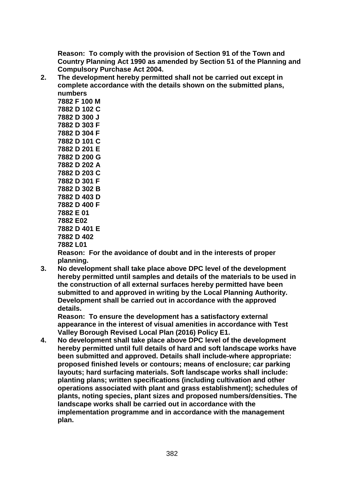**Reason: To comply with the provision of Section 91 of the Town and Country Planning Act 1990 as amended by Section 51 of the Planning and Compulsory Purchase Act 2004.**

**2. The development hereby permitted shall not be carried out except in complete accordance with the details shown on the submitted plans, numbers**

**7882 F 100 M 7882 D 102 C 7882 D 300 J 7882 D 303 F 7882 D 304 F 7882 D 101 C 7882 D 201 E 7882 D 200 G 7882 D 202 A 7882 D 203 C 7882 D 301 F 7882 D 302 B 7882 D 403 D 7882 D 400 F 7882 E 01 7882 E02 7882 D 401 E 7882 D 402 7882 L01**

**Reason: For the avoidance of doubt and in the interests of proper planning.**

**3. No development shall take place above DPC level of the development hereby permitted until samples and details of the materials to be used in the construction of all external surfaces hereby permitted have been submitted to and approved in writing by the Local Planning Authority. Development shall be carried out in accordance with the approved details.**

**Reason: To ensure the development has a satisfactory external appearance in the interest of visual amenities in accordance with Test Valley Borough Revised Local Plan (2016) Policy E1.**

**4. No development shall take place above DPC level of the development hereby permitted until full details of hard and soft landscape works have been submitted and approved. Details shall include-where appropriate: proposed finished levels or contours; means of enclosure; car parking layouts; hard surfacing materials. Soft landscape works shall include: planting plans; written specifications (including cultivation and other operations associated with plant and grass establishment); schedules of plants, noting species, plant sizes and proposed numbers/densities. The landscape works shall be carried out in accordance with the implementation programme and in accordance with the management plan.**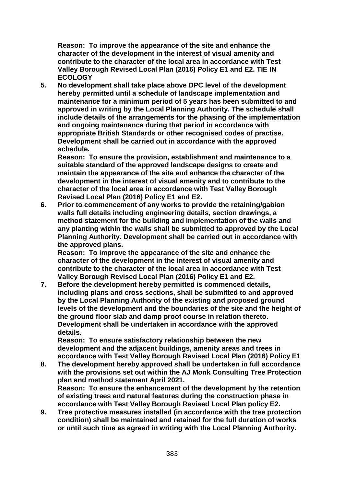**Reason: To improve the appearance of the site and enhance the character of the development in the interest of visual amenity and contribute to the character of the local area in accordance with Test Valley Borough Revised Local Plan (2016) Policy E1 and E2. TIE IN ECOLOGY** 

**5. No development shall take place above DPC level of the development hereby permitted until a schedule of landscape implementation and maintenance for a minimum period of 5 years has been submitted to and approved in writing by the Local Planning Authority. The schedule shall include details of the arrangements for the phasing of the implementation and ongoing maintenance during that period in accordance with appropriate British Standards or other recognised codes of practise. Development shall be carried out in accordance with the approved schedule.**

**Reason: To ensure the provision, establishment and maintenance to a suitable standard of the approved landscape designs to create and maintain the appearance of the site and enhance the character of the development in the interest of visual amenity and to contribute to the character of the local area in accordance with Test Valley Borough Revised Local Plan (2016) Policy E1 and E2.**

**6. Prior to commencement of any works to provide the retaining/gabion walls full details including engineering details, section drawings, a method statement for the building and implementation of the walls and any planting within the walls shall be submitted to approved by the Local Planning Authority. Development shall be carried out in accordance with the approved plans.** 

**Reason: To improve the appearance of the site and enhance the character of the development in the interest of visual amenity and contribute to the character of the local area in accordance with Test Valley Borough Revised Local Plan (2016) Policy E1 and E2.**

**7. Before the development hereby permitted is commenced details, including plans and cross sections, shall be submitted to and approved by the Local Planning Authority of the existing and proposed ground levels of the development and the boundaries of the site and the height of the ground floor slab and damp proof course in relation thereto. Development shall be undertaken in accordance with the approved details.**

**Reason: To ensure satisfactory relationship between the new development and the adjacent buildings, amenity areas and trees in accordance with Test Valley Borough Revised Local Plan (2016) Policy E1**

- **8. The development hereby approved shall be undertaken in full accordance with the provisions set out within the AJ Monk Consulting Tree Protection plan and method statement April 2021. Reason: To ensure the enhancement of the development by the retention of existing trees and natural features during the construction phase in accordance with Test Valley Borough Revised Local Plan policy E2.**
- **9. Tree protective measures installed (in accordance with the tree protection condition) shall be maintained and retained for the full duration of works or until such time as agreed in writing with the Local Planning Authority.**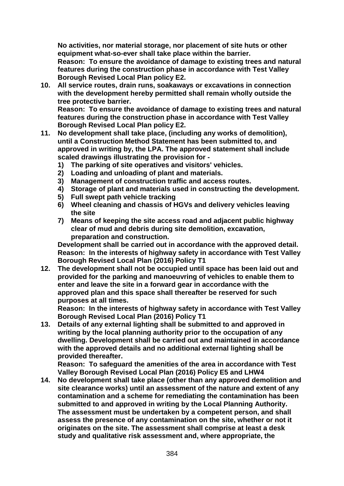**No activities, nor material storage, nor placement of site huts or other equipment what-so-ever shall take place within the barrier. Reason: To ensure the avoidance of damage to existing trees and natural features during the construction phase in accordance with Test Valley Borough Revised Local Plan policy E2.**

**10. All service routes, drain runs, soakaways or excavations in connection with the development hereby permitted shall remain wholly outside the tree protective barrier.**

**Reason: To ensure the avoidance of damage to existing trees and natural features during the construction phase in accordance with Test Valley Borough Revised Local Plan policy E2.**

- **11. No development shall take place, (including any works of demolition), until a Construction Method Statement has been submitted to, and approved in writing by, the LPA. The approved statement shall include scaled drawings illustrating the provision for -**
	- **1) The parking of site operatives and visitors' vehicles.**
	- **2) Loading and unloading of plant and materials.**
	- **3) Management of construction traffic and access routes.**
	- **4) Storage of plant and materials used in constructing the development.**
	- **5) Full swept path vehicle tracking**
	- **6) Wheel cleaning and chassis of HGVs and delivery vehicles leaving the site**
	- **7) Means of keeping the site access road and adjacent public highway clear of mud and debris during site demolition, excavation, preparation and construction.**

**Development shall be carried out in accordance with the approved detail. Reason: In the interests of highway safety in accordance with Test Valley Borough Revised Local Plan (2016) Policy T1**

**12. The development shall not be occupied until space has been laid out and provided for the parking and manoeuvring of vehicles to enable them to enter and leave the site in a forward gear in accordance with the approved plan and this space shall thereafter be reserved for such purposes at all times.**

**Reason: In the interests of highway safety in accordance with Test Valley Borough Revised Local Plan (2016) Policy T1**

**13. Details of any external lighting shall be submitted to and approved in writing by the local planning authority prior to the occupation of any dwelling. Development shall be carried out and maintained in accordance with the approved details and no additional external lighting shall be provided thereafter.**

**Reason: To safeguard the amenities of the area in accordance with Test Valley Borough Revised Local Plan (2016) Policy E5 and LHW4**

**14. No development shall take place (other than any approved demolition and site clearance works) until an assessment of the nature and extent of any contamination and a scheme for remediating the contamination has been submitted to and approved in writing by the Local Planning Authority. The assessment must be undertaken by a competent person, and shall assess the presence of any contamination on the site, whether or not it originates on the site. The assessment shall comprise at least a desk study and qualitative risk assessment and, where appropriate, the**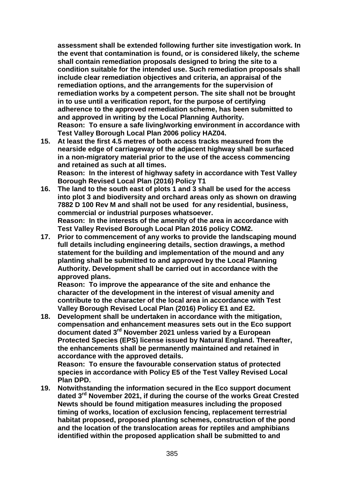**assessment shall be extended following further site investigation work. In the event that contamination is found, or is considered likely, the scheme shall contain remediation proposals designed to bring the site to a condition suitable for the intended use. Such remediation proposals shall include clear remediation objectives and criteria, an appraisal of the remediation options, and the arrangements for the supervision of remediation works by a competent person. The site shall not be brought in to use until a verification report, for the purpose of certifying adherence to the approved remediation scheme, has been submitted to and approved in writing by the Local Planning Authority. Reason: To ensure a safe living/working environment in accordance with Test Valley Borough Local Plan 2006 policy HAZ04.**

**15. At least the first 4.5 metres of both access tracks measured from the nearside edge of carriageway of the adjacent highway shall be surfaced in a non-migratory material prior to the use of the access commencing and retained as such at all times.**

**Reason: In the interest of highway safety in accordance with Test Valley Borough Revised Local Plan (2016) Policy T1**

- **16. The land to the south east of plots 1 and 3 shall be used for the access into plot 3 and biodiversity and orchard areas only as shown on drawing 7882 D 100 Rev M and shall not be used for any residential, business, commercial or industrial purposes whatsoever. Reason: In the interests of the amenity of the area in accordance with Test Valley Revised Borough Local Plan 2016 policy COM2.**
- **17. Prior to commencement of any works to provide the landscaping mound full details including engineering details, section drawings, a method statement for the building and implementation of the mound and any planting shall be submitted to and approved by the Local Planning Authority. Development shall be carried out in accordance with the approved plans.**

**Reason: To improve the appearance of the site and enhance the character of the development in the interest of visual amenity and contribute to the character of the local area in accordance with Test Valley Borough Revised Local Plan (2016) Policy E1 and E2.**

**18. Development shall be undertaken in accordance with the mitigation, compensation and enhancement measures sets out in the Eco support document dated 3rd November 2021 unless varied by a European Protected Species (EPS) license issued by Natural England. Thereafter, the enhancements shall be permanently maintained and retained in accordance with the approved details.** 

**Reason: To ensure the favourable conservation status of protected species in accordance with Policy E5 of the Test Valley Revised Local Plan DPD.**

**19. Notwithstanding the information secured in the Eco support document dated 3rd November 2021, if during the course of the works Great Crested Newts should be found mitigation measures including the proposed timing of works, location of exclusion fencing, replacement terrestrial habitat proposed, proposed planting schemes, construction of the pond and the location of the translocation areas for reptiles and amphibians identified within the proposed application shall be submitted to and**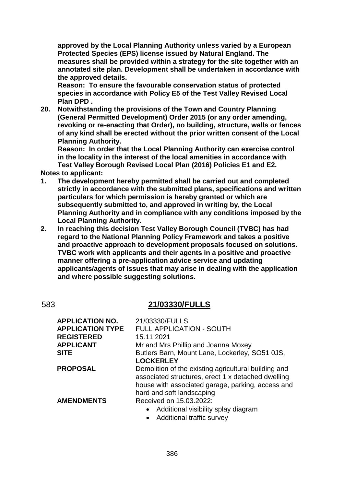**approved by the Local Planning Authority unless varied by a European Protected Species (EPS) license issued by Natural England. The measures shall be provided within a strategy for the site together with an annotated site plan. Development shall be undertaken in accordance with the approved details.** 

**Reason: To ensure the favourable conservation status of protected species in accordance with Policy E5 of the Test Valley Revised Local Plan DPD .**

**20. Notwithstanding the provisions of the Town and Country Planning (General Permitted Development) Order 2015 (or any order amending, revoking or re-enacting that Order), no building, structure, walls or fences of any kind shall be erected without the prior written consent of the Local Planning Authority.**

**Reason: In order that the Local Planning Authority can exercise control in the locality in the interest of the local amenities in accordance with Test Valley Borough Revised Local Plan (2016) Policies E1 and E2.**

**Notes to applicant:**

- **1. The development hereby permitted shall be carried out and completed strictly in accordance with the submitted plans, specifications and written particulars for which permission is hereby granted or which are subsequently submitted to, and approved in writing by, the Local Planning Authority and in compliance with any conditions imposed by the Local Planning Authority.**
- **2. In reaching this decision Test Valley Borough Council (TVBC) has had regard to the National Planning Policy Framework and takes a positive and proactive approach to development proposals focused on solutions. TVBC work with applicants and their agents in a positive and proactive manner offering a pre-application advice service and updating applicants/agents of issues that may arise in dealing with the application and where possible suggesting solutions.**

#### 583 **21/03330/FULLS**

| <b>APPLICATION NO.</b>  | 21/03330/FULLS                                                                                                                                                                               |
|-------------------------|----------------------------------------------------------------------------------------------------------------------------------------------------------------------------------------------|
| <b>APPLICATION TYPE</b> | <b>FULL APPLICATION - SOUTH</b>                                                                                                                                                              |
| <b>REGISTERED</b>       | 15.11.2021                                                                                                                                                                                   |
| <b>APPLICANT</b>        | Mr and Mrs Phillip and Joanna Moxey                                                                                                                                                          |
| <b>SITE</b>             | Butlers Barn, Mount Lane, Lockerley, SO51 0JS,                                                                                                                                               |
|                         | <b>LOCKERLEY</b>                                                                                                                                                                             |
| <b>PROPOSAL</b>         | Demolition of the existing agricultural building and<br>associated structures, erect 1 x detached dwelling<br>house with associated garage, parking, access and<br>hard and soft landscaping |
| <b>AMENDMENTS</b>       | Received on 15.03.2022:<br>Additional visibility splay diagram                                                                                                                               |
|                         | <b>Additional traffic survey</b>                                                                                                                                                             |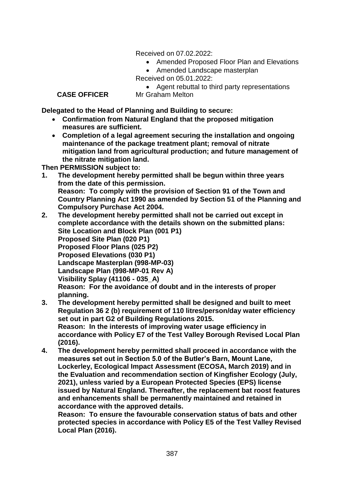Received on 07.02.2022:

Amended Proposed Floor Plan and Elevations

• Amended Landscape masterplan

Received on 05.01.2022:

**CASE OFFICER** Mr Graham Melton

• Agent rebuttal to third party representations

**Delegated to the Head of Planning and Building to secure:**

- **Confirmation from Natural England that the proposed mitigation measures are sufficient.**
- **Completion of a legal agreement securing the installation and ongoing maintenance of the package treatment plant; removal of nitrate mitigation land from agricultural production; and future management of the nitrate mitigation land.**

**Then PERMISSION subject to:**

- **1. The development hereby permitted shall be begun within three years from the date of this permission. Reason: To comply with the provision of Section 91 of the Town and Country Planning Act 1990 as amended by Section 51 of the Planning and Compulsory Purchase Act 2004.**
- **2. The development hereby permitted shall not be carried out except in complete accordance with the details shown on the submitted plans: Site Location and Block Plan (001 P1) Proposed Site Plan (020 P1) Proposed Floor Plans (025 P2) Proposed Elevations (030 P1) Landscape Masterplan (998-MP-03) Landscape Plan (998-MP-01 Rev A) Visibility Splay (41106 - 035\_A) Reason: For the avoidance of doubt and in the interests of proper planning.**
- **3. The development hereby permitted shall be designed and built to meet Regulation 36 2 (b) requirement of 110 litres/person/day water efficiency set out in part G2 of Building Regulations 2015. Reason: In the interests of improving water usage efficiency in accordance with Policy E7 of the Test Valley Borough Revised Local Plan (2016).**
- **4. The development hereby permitted shall proceed in accordance with the measures set out in Section 5.0 of the Butler's Barn, Mount Lane, Lockerley, Ecological Impact Assessment (ECOSA, March 2019) and in the Evaluation and recommendation section of Kingfisher Ecology (July, 2021), unless varied by a European Protected Species (EPS) license issued by Natural England. Thereafter, the replacement bat roost features and enhancements shall be permanently maintained and retained in accordance with the approved details.**

**Reason: To ensure the favourable conservation status of bats and other protected species in accordance with Policy E5 of the Test Valley Revised Local Plan (2016).**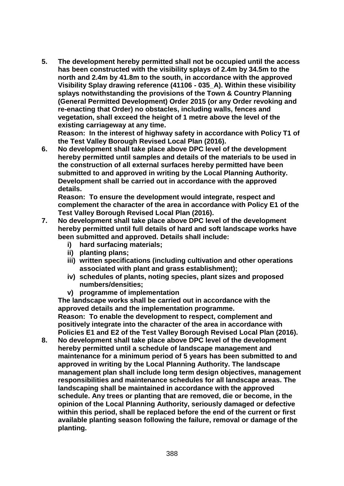**5. The development hereby permitted shall not be occupied until the access has been constructed with the visibility splays of 2.4m by 34.5m to the north and 2.4m by 41.8m to the south, in accordance with the approved Visibility Splay drawing reference (41106 - 035\_A). Within these visibility splays notwithstanding the provisions of the Town & Country Planning (General Permitted Development) Order 2015 (or any Order revoking and re-enacting that Order) no obstacles, including walls, fences and vegetation, shall exceed the height of 1 metre above the level of the existing carriageway at any time.**

**Reason: In the interest of highway safety in accordance with Policy T1 of the Test Valley Borough Revised Local Plan (2016).**

**6. No development shall take place above DPC level of the development hereby permitted until samples and details of the materials to be used in the construction of all external surfaces hereby permitted have been submitted to and approved in writing by the Local Planning Authority. Development shall be carried out in accordance with the approved details.**

**Reason: To ensure the development would integrate, respect and complement the character of the area in accordance with Policy E1 of the Test Valley Borough Revised Local Plan (2016).**

- **7. No development shall take place above DPC level of the development hereby permitted until full details of hard and soft landscape works have been submitted and approved. Details shall include:** 
	- **i) hard surfacing materials;**
	- **ii) planting plans;**
	- **iii) written specifications (including cultivation and other operations associated with plant and grass establishment);**
	- **iv) schedules of plants, noting species, plant sizes and proposed numbers/densities;**
	- **v) programme of implementation**

**The landscape works shall be carried out in accordance with the approved details and the implementation programme.**

**Reason: To enable the development to respect, complement and positively integrate into the character of the area in accordance with Policies E1 and E2 of the Test Valley Borough Revised Local Plan (2016).**

**8. No development shall take place above DPC level of the development hereby permitted until a schedule of landscape management and maintenance for a minimum period of 5 years has been submitted to and approved in writing by the Local Planning Authority. The landscape management plan shall include long term design objectives, management responsibilities and maintenance schedules for all landscape areas. The landscaping shall be maintained in accordance with the approved schedule. Any trees or planting that are removed, die or become, in the opinion of the Local Planning Authority, seriously damaged or defective within this period, shall be replaced before the end of the current or first available planting season following the failure, removal or damage of the planting.**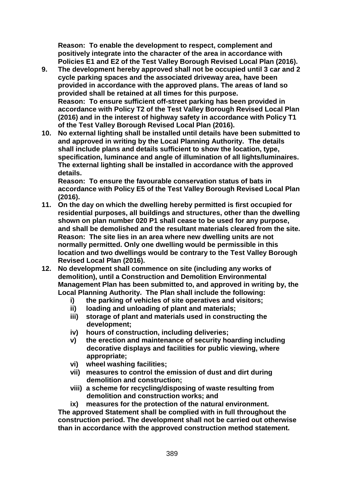**Reason: To enable the development to respect, complement and positively integrate into the character of the area in accordance with Policies E1 and E2 of the Test Valley Borough Revised Local Plan (2016).**

- **9. The development hereby approved shall not be occupied until 3 car and 2 cycle parking spaces and the associated driveway area, have been provided in accordance with the approved plans. The areas of land so provided shall be retained at all times for this purpose. Reason: To ensure sufficient off-street parking has been provided in accordance with Policy T2 of the Test Valley Borough Revised Local Plan (2016) and in the interest of highway safety in accordance with Policy T1 of the Test Valley Borough Revised Local Plan (2016).**
- **10. No external lighting shall be installed until details have been submitted to and approved in writing by the Local Planning Authority. The details shall include plans and details sufficient to show the location, type, specification, luminance and angle of illumination of all lights/luminaires. The external lighting shall be installed in accordance with the approved details.**

**Reason: To ensure the favourable conservation status of bats in accordance with Policy E5 of the Test Valley Borough Revised Local Plan (2016).**

- **11. On the day on which the dwelling hereby permitted is first occupied for residential purposes, all buildings and structures, other than the dwelling shown on plan number 020 P1 shall cease to be used for any purpose, and shall be demolished and the resultant materials cleared from the site. Reason: The site lies in an area where new dwelling units are not normally permitted. Only one dwelling would be permissible in this location and two dwellings would be contrary to the Test Valley Borough Revised Local Plan (2016).**
- **12. No development shall commence on site (including any works of demolition), until a Construction and Demolition Environmental Management Plan has been submitted to, and approved in writing by, the Local Planning Authority. The Plan shall include the following:**
	- **i) the parking of vehicles of site operatives and visitors;**
	- **ii) loading and unloading of plant and materials;**
	- **iii) storage of plant and materials used in constructing the development;**
	- **iv) hours of construction, including deliveries;**
	- **v) the erection and maintenance of security hoarding including decorative displays and facilities for public viewing, where appropriate;**
	- **vi) wheel washing facilities;**
	- **vii) measures to control the emission of dust and dirt during demolition and construction;**
	- **viii) a scheme for recycling/disposing of waste resulting from demolition and construction works; and**

**ix) measures for the protection of the natural environment.**

**The approved Statement shall be complied with in full throughout the construction period. The development shall not be carried out otherwise than in accordance with the approved construction method statement.**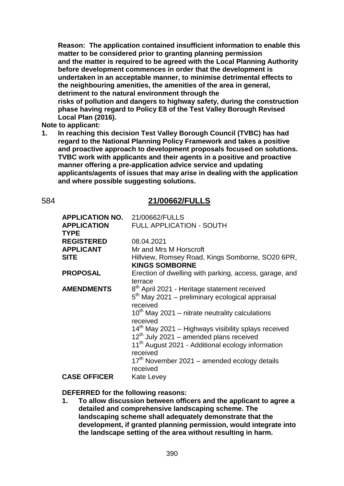**Reason: The application contained insufficient information to enable this matter to be considered prior to granting planning permission and the matter is required to be agreed with the Local Planning Authority before development commences in order that the development is undertaken in an acceptable manner, to minimise detrimental effects to the neighbouring amenities, the amenities of the area in general, detriment to the natural environment through the risks of pollution and dangers to highway safety, during the construction phase having regard to Policy E8 of the Test Valley Borough Revised Local Plan (2016).**

**Note to applicant:**

**1. In reaching this decision Test Valley Borough Council (TVBC) has had regard to the National Planning Policy Framework and takes a positive and proactive approach to development proposals focused on solutions. TVBC work with applicants and their agents in a positive and proactive manner offering a pre-application advice service and updating applicants/agents of issues that may arise in dealing with the application and where possible suggesting solutions.**

#### 584 **21/00662/FULLS**

| APPLICATION NO. 21/00662/FULLS<br><b>APPLICATION</b> | <b>FULL APPLICATION - SOUTH</b>                                 |
|------------------------------------------------------|-----------------------------------------------------------------|
| <b>TYPE</b>                                          |                                                                 |
| <b>REGISTERED</b>                                    | 08.04.2021                                                      |
| <b>APPLICANT</b>                                     | Mr and Mrs M Horscroft                                          |
| <b>SITE</b>                                          | Hillview, Romsey Road, Kings Somborne, SO20 6PR,                |
|                                                      | <b>KINGS SOMBORNE</b>                                           |
| <b>PROPOSAL</b>                                      | Erection of dwelling with parking, access, garage, and          |
|                                                      | terrace                                                         |
| <b>AMENDMENTS</b>                                    | 8 <sup>th</sup> April 2021 - Heritage statement received        |
|                                                      | $5th$ May 2021 – preliminary ecological appraisal               |
|                                                      | received                                                        |
|                                                      | $10th$ May 2021 – nitrate neutrality calculations               |
|                                                      | received                                                        |
|                                                      |                                                                 |
|                                                      | 14 <sup>th</sup> May 2021 - Highways visibility splays received |
|                                                      | $12th$ July 2021 – amended plans received                       |
|                                                      | 11 <sup>th</sup> August 2021 - Additional ecology information   |
|                                                      | received                                                        |
|                                                      | 17 <sup>th</sup> November 2021 - amended ecology details        |
|                                                      | received                                                        |
| <b>CASE OFFICER</b>                                  | <b>Kate Levey</b>                                               |
|                                                      |                                                                 |

#### **DEFERRED for the following reasons:**

**1. To allow discussion between officers and the applicant to agree a detailed and comprehensive landscaping scheme. The landscaping scheme shall adequately demonstrate that the development, if granted planning permission, would integrate into the landscape setting of the area without resulting in harm.**